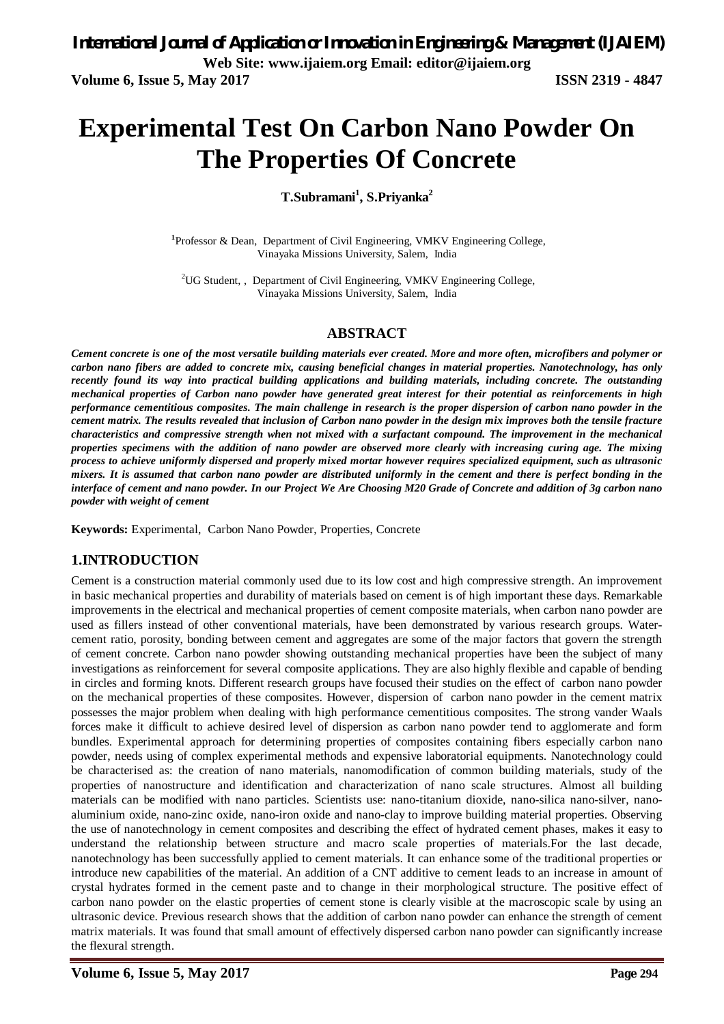# **Experimental Test On Carbon Nano Powder On The Properties Of Concrete**

**T.Subramani<sup>1</sup> , S.Priyanka<sup>2</sup>**

<sup>1</sup>Professor & Dean, Department of Civil Engineering, VMKV Engineering College, Vinayaka Missions University, Salem, India

<sup>2</sup>UG Student,, Department of Civil Engineering, VMKV Engineering College, Vinayaka Missions University, Salem, India

### **ABSTRACT**

*Cement concrete is one of the most versatile building materials ever created. More and more often, microfibers and polymer or carbon nano fibers are added to concrete mix, causing beneficial changes in material properties. Nanotechnology, has only recently found its way into practical building applications and building materials, including concrete. The outstanding mechanical properties of Carbon nano powder have generated great interest for their potential as reinforcements in high performance cementitious composites. The main challenge in research is the proper dispersion of carbon nano powder in the cement matrix. The results revealed that inclusion of Carbon nano powder in the design mix improves both the tensile fracture characteristics and compressive strength when not mixed with a surfactant compound. The improvement in the mechanical properties specimens with the addition of nano powder are observed more clearly with increasing curing age. The mixing process to achieve uniformly dispersed and properly mixed mortar however requires specialized equipment, such as ultrasonic mixers. It is assumed that carbon nano powder are distributed uniformly in the cement and there is perfect bonding in the interface of cement and nano powder. In our Project We Are Choosing M20 Grade of Concrete and addition of 3g carbon nano powder with weight of cement*

**Keywords:** Experimental, Carbon Nano Powder, Properties, Concrete

### **1.INTRODUCTION**

Cement is a construction material commonly used due to its low cost and high compressive strength. An improvement in basic mechanical properties and durability of materials based on cement is of high important these days. Remarkable improvements in the electrical and mechanical properties of cement composite materials, when carbon nano powder are used as fillers instead of other conventional materials, have been demonstrated by various research groups. Watercement ratio, porosity, bonding between cement and aggregates are some of the major factors that govern the strength of cement concrete. Carbon nano powder showing outstanding mechanical properties have been the subject of many investigations as reinforcement for several composite applications. They are also highly flexible and capable of bending in circles and forming knots. Different research groups have focused their studies on the effect of carbon nano powder on the mechanical properties of these composites. However, dispersion of carbon nano powder in the cement matrix possesses the major problem when dealing with high performance cementitious composites. The strong vander Waals forces make it difficult to achieve desired level of dispersion as carbon nano powder tend to agglomerate and form bundles. Experimental approach for determining properties of composites containing fibers especially carbon nano powder, needs using of complex experimental methods and expensive laboratorial equipments. Nanotechnology could be characterised as: the creation of nano materials, nanomodification of common building materials, study of the properties of nanostructure and identification and characterization of nano scale structures. Almost all building materials can be modified with nano particles. Scientists use: nano-titanium dioxide, nano-silica nano-silver, nanoaluminium oxide, nano-zinc oxide, nano-iron oxide and nano-clay to improve building material properties. Observing the use of nanotechnology in cement composites and describing the effect of hydrated cement phases, makes it easy to understand the relationship between structure and macro scale properties of materials.For the last decade, nanotechnology has been successfully applied to cement materials. It can enhance some of the traditional properties or introduce new capabilities of the material. An addition of a CNT additive to cement leads to an increase in amount of crystal hydrates formed in the cement paste and to change in their morphological structure. The positive effect of carbon nano powder on the elastic properties of cement stone is clearly visible at the macroscopic scale by using an ultrasonic device. Previous research shows that the addition of carbon nano powder can enhance the strength of cement matrix materials. It was found that small amount of effectively dispersed carbon nano powder can significantly increase the flexural strength.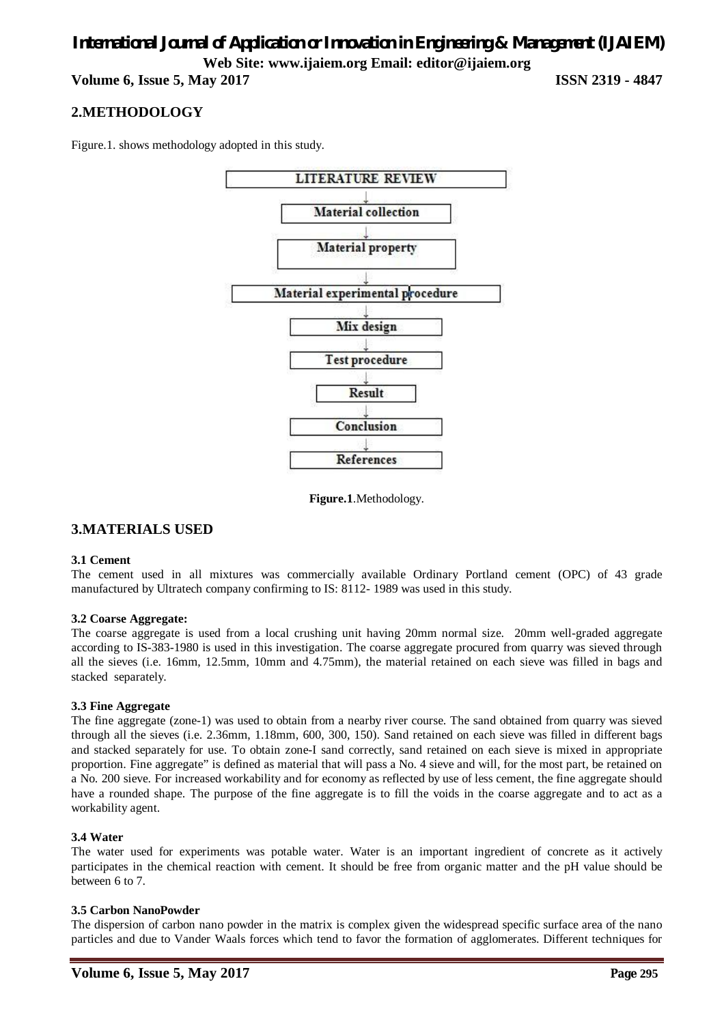**Volume 6, Issue 5, May 2017 ISSN 2319 - 4847**

### **2.METHODOLOGY**

Figure.1. shows methodology adopted in this study.



**Figure.1**.Methodology.

### **3.MATERIALS USED**

### **3.1 Cement**

The cement used in all mixtures was commercially available Ordinary Portland cement (OPC) of 43 grade manufactured by Ultratech company confirming to IS: 8112- 1989 was used in this study.

### **3.2 Coarse Aggregate:**

The coarse aggregate is used from a local crushing unit having 20mm normal size. 20mm well-graded aggregate according to IS-383-1980 is used in this investigation. The coarse aggregate procured from quarry was sieved through all the sieves (i.e. 16mm, 12.5mm, 10mm and 4.75mm), the material retained on each sieve was filled in bags and stacked separately.

### **3.3 Fine Aggregate**

The fine aggregate (zone-1) was used to obtain from a nearby river course. The sand obtained from quarry was sieved through all the sieves (i.e. 2.36mm, 1.18mm, 600, 300, 150). Sand retained on each sieve was filled in different bags and stacked separately for use. To obtain zone-I sand correctly, sand retained on each sieve is mixed in appropriate proportion. Fine aggregate" is defined as material that will pass a No. 4 sieve and will, for the most part, be retained on a No. 200 sieve. For increased workability and for economy as reflected by use of less cement, the fine aggregate should have a rounded shape. The purpose of the fine aggregate is to fill the voids in the coarse aggregate and to act as a workability agent.

### **3.4 Water**

The water used for experiments was potable water. Water is an important ingredient of concrete as it actively participates in the chemical reaction with cement. It should be free from organic matter and the pH value should be between 6 to 7.

### **3.5 Carbon NanoPowder**

The dispersion of carbon nano powder in the matrix is complex given the widespread specific surface area of the nano particles and due to Vander Waals forces which tend to favor the formation of agglomerates. Different techniques for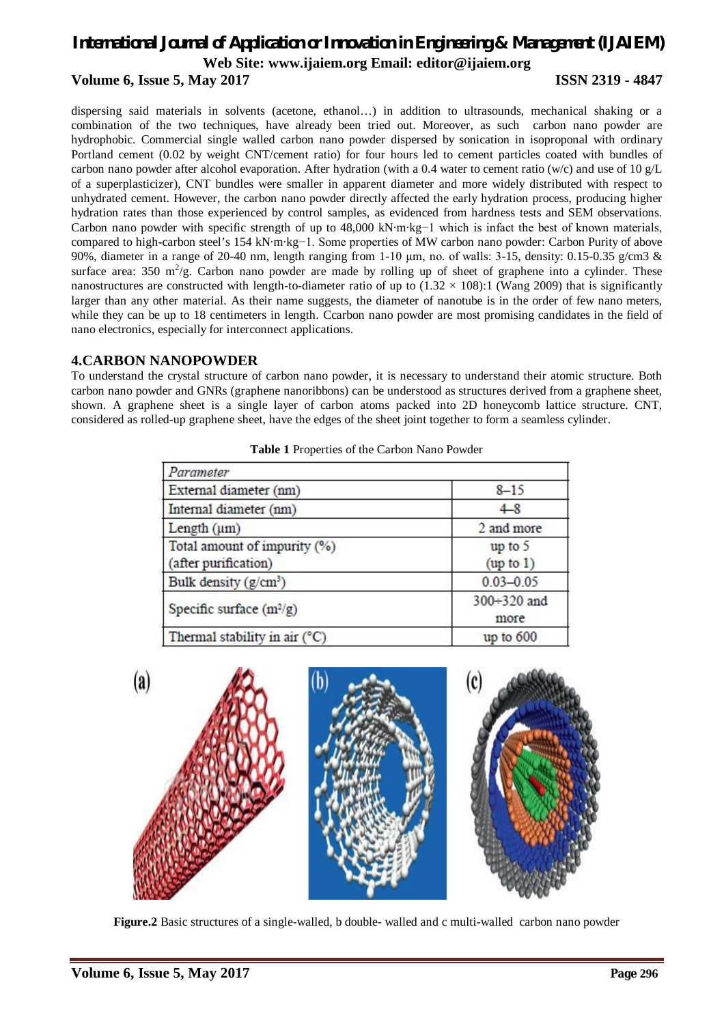### *International Journal of Application or Innovation in Engineering & Management (IJAIEM)* **Web Site: www.ijaiem.org Email: editor@ijaiem.org Volume 6, Issue 5, May 2017 ISSN 2319 - 4847**

dispersing said materials in solvents (acetone, ethanol…) in addition to ultrasounds, mechanical shaking or a combination of the two techniques, have already been tried out. Moreover, as such carbon nano powder are hydrophobic. Commercial single walled carbon nano powder dispersed by sonication in isoproponal with ordinary Portland cement (0.02 by weight CNT/cement ratio) for four hours led to cement particles coated with bundles of carbon nano powder after alcohol evaporation. After hydration (with a 0.4 water to cement ratio (w/c) and use of 10  $g/L$ of a superplasticizer), CNT bundles were smaller in apparent diameter and more widely distributed with respect to unhydrated cement. However, the carbon nano powder directly affected the early hydration process, producing higher hydration rates than those experienced by control samples, as evidenced from hardness tests and SEM observations. Carbon nano powder with specific strength of up to 48,000 kN·m·kg−1 which is infact the best of known materials, compared to high-carbon steel's 154 kN·m·kg−1. Some properties of MW carbon nano powder: Carbon Purity of above 90%, diameter in a range of 20-40 nm, length ranging from 1-10 μm, no. of walls: 3-15, density: 0.15-0.35 g/cm3 & surface area: 350 m<sup>2</sup>/g. Carbon nano powder are made by rolling up of sheet of graphene into a cylinder. These nanostructures are constructed with length-to-diameter ratio of up to  $(1.32 \times 108)$ :1 (Wang 2009) that is significantly larger than any other material. As their name suggests, the diameter of nanotube is in the order of few nano meters, while they can be up to 18 centimeters in length. Ccarbon nano powder are most promising candidates in the field of nano electronics, especially for interconnect applications.

### **4.CARBON NANOPOWDER**

To understand the crystal structure of carbon nano powder, it is necessary to understand their atomic structure. Both carbon nano powder and GNRs (graphene nanoribbons) can be understood as structures derived from a graphene sheet, shown. A graphene sheet is a single layer of carbon atoms packed into 2D honeycomb lattice structure. CNT, considered as rolled-up graphene sheet, have the edges of the sheet joint together to form a seamless cylinder.

| Parameter                                            |                            |  |
|------------------------------------------------------|----------------------------|--|
| External diameter (nm)                               | $8 - 15$                   |  |
| Internal diameter (nm)                               | $4-8$                      |  |
| Length $(\mu m)$                                     | 2 and more                 |  |
| Total amount of impurity (%)<br>(after purification) | up to 5<br>(up to 1)       |  |
| Bulk density $(g/cm^3)$                              | $0.03 - 0.05$              |  |
| Specific surface $(m^2/g)$                           | $300 \div 320$ and<br>more |  |
| Thermal stability in air $(^{\circ}C)$               | up to 600                  |  |

**Table 1** Properties of the Carbon Nano Powder



**Figure.2** Basic structures of a single-walled, b double- walled and c multi-walled carbon nano powder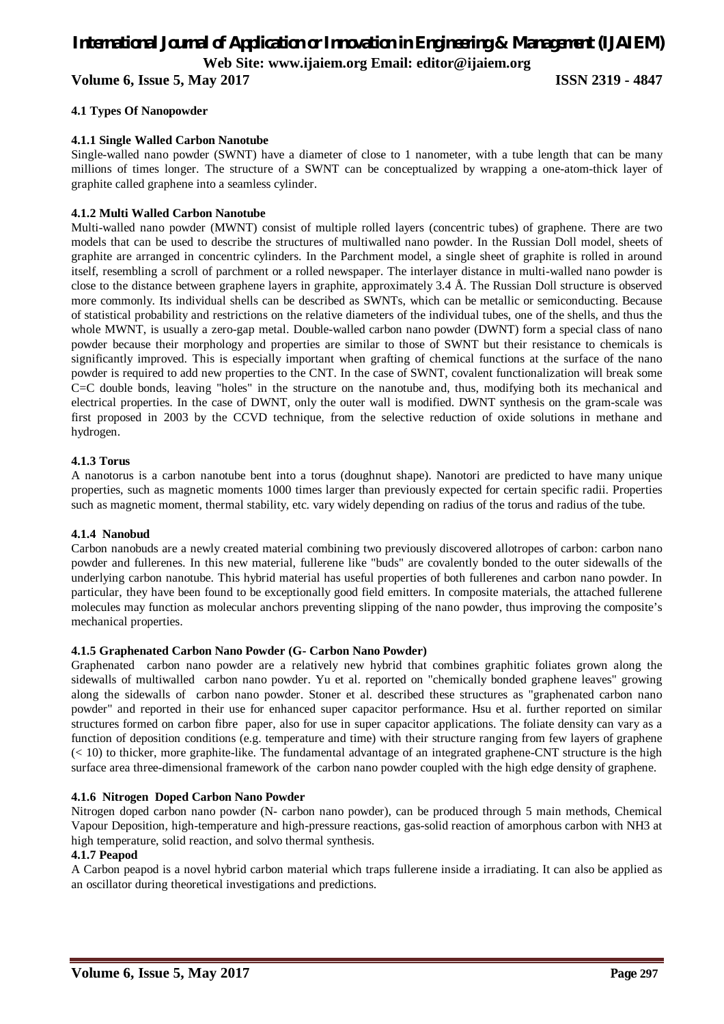**Volume 6, Issue 5, May 2017 ISSN 2319 - 4847**

### **4.1 Types Of Nanopowder**

### **4.1.1 Single Walled Carbon Nanotube**

Single-walled nano powder (SWNT) have a diameter of close to 1 nanometer, with a tube length that can be many millions of times longer. The structure of a SWNT can be conceptualized by wrapping a one-atom-thick layer of graphite called graphene into a seamless cylinder.

### **4.1.2 Multi Walled Carbon Nanotube**

Multi-walled nano powder (MWNT) consist of multiple rolled layers (concentric tubes) of graphene. There are two models that can be used to describe the structures of multiwalled nano powder. In the Russian Doll model, sheets of graphite are arranged in concentric cylinders. In the Parchment model, a single sheet of graphite is rolled in around itself, resembling a scroll of parchment or a rolled newspaper. The interlayer distance in multi-walled nano powder is close to the distance between graphene layers in graphite, approximately 3.4 Å. The Russian Doll structure is observed more commonly. Its individual shells can be described as SWNTs, which can be metallic or semiconducting. Because of statistical probability and restrictions on the relative diameters of the individual tubes, one of the shells, and thus the whole MWNT, is usually a zero-gap metal. Double-walled carbon nano powder (DWNT) form a special class of nano powder because their morphology and properties are similar to those of SWNT but their resistance to chemicals is significantly improved. This is especially important when grafting of chemical functions at the surface of the nano powder is required to add new properties to the CNT. In the case of SWNT, covalent functionalization will break some C=C double bonds, leaving "holes" in the structure on the nanotube and, thus, modifying both its mechanical and electrical properties. In the case of DWNT, only the outer wall is modified. DWNT synthesis on the gram-scale was first proposed in 2003 by the CCVD technique, from the selective reduction of oxide solutions in methane and hydrogen.

### **4.1.3 Torus**

A nanotorus is a carbon nanotube bent into a torus (doughnut shape). Nanotori are predicted to have many unique properties, such as magnetic moments 1000 times larger than previously expected for certain specific radii. Properties such as magnetic moment, thermal stability, etc. vary widely depending on radius of the torus and radius of the tube.

### **4.1.4 Nanobud**

Carbon nanobuds are a newly created material combining two previously discovered allotropes of carbon: carbon nano powder and fullerenes. In this new material, fullerene like "buds" are covalently bonded to the outer sidewalls of the underlying carbon nanotube. This hybrid material has useful properties of both fullerenes and carbon nano powder. In particular, they have been found to be exceptionally good field emitters. In composite materials, the attached fullerene molecules may function as molecular anchors preventing slipping of the nano powder, thus improving the composite's mechanical properties.

#### **4.1.5 Graphenated Carbon Nano Powder (G- Carbon Nano Powder)**

Graphenated carbon nano powder are a relatively new hybrid that combines graphitic foliates grown along the sidewalls of multiwalled carbon nano powder. Yu et al. reported on "chemically bonded graphene leaves" growing along the sidewalls of carbon nano powder. Stoner et al. described these structures as "graphenated carbon nano powder" and reported in their use for enhanced super capacitor performance. Hsu et al. further reported on similar structures formed on carbon fibre paper, also for use in super capacitor applications. The foliate density can vary as a function of deposition conditions (e.g. temperature and time) with their structure ranging from few layers of graphene (< 10) to thicker, more graphite-like. The fundamental advantage of an integrated graphene-CNT structure is the high surface area three-dimensional framework of the carbon nano powder coupled with the high edge density of graphene.

### **4.1.6 Nitrogen Doped Carbon Nano Powder**

Nitrogen doped carbon nano powder (N- carbon nano powder), can be produced through 5 main methods, Chemical Vapour Deposition, high-temperature and high-pressure reactions, gas-solid reaction of amorphous carbon with NH3 at high temperature, solid reaction, and solvo thermal synthesis.

### **4.1.7 Peapod**

A Carbon peapod is a novel hybrid carbon material which traps fullerene inside a irradiating. It can also be applied as an oscillator during theoretical investigations and predictions.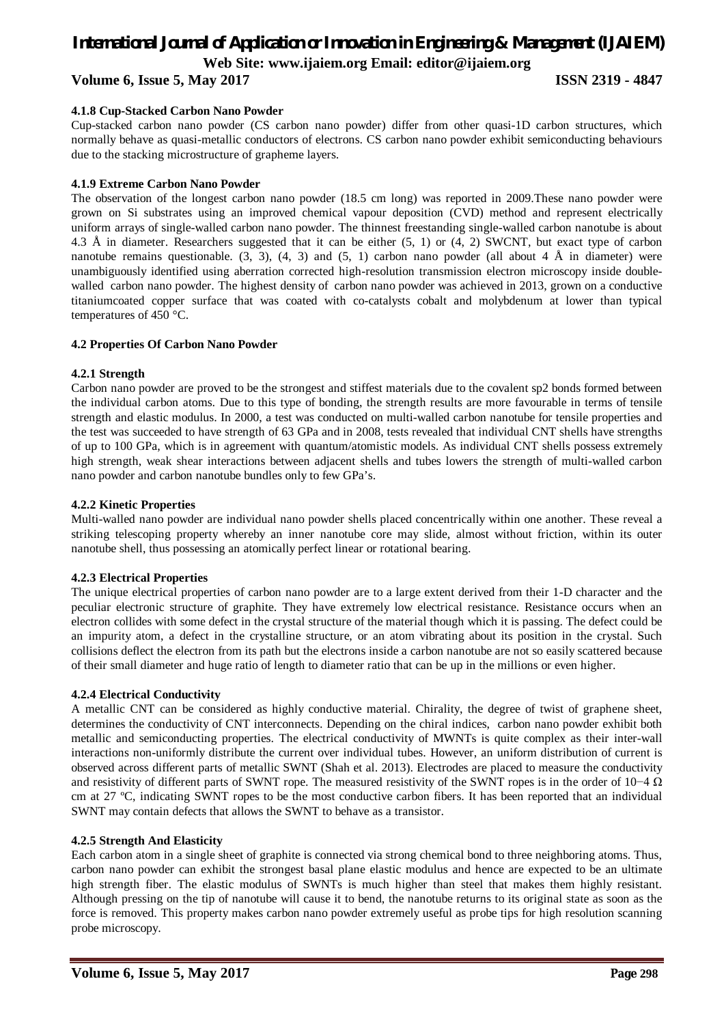### **Volume 6, Issue 5, May 2017 ISSN 2319 - 4847**

### **4.1.8 Cup-Stacked Carbon Nano Powder**

Cup-stacked carbon nano powder (CS carbon nano powder) differ from other quasi-1D carbon structures, which normally behave as quasi-metallic conductors of electrons. CS carbon nano powder exhibit semiconducting behaviours due to the stacking microstructure of grapheme layers.

#### **4.1.9 Extreme Carbon Nano Powder**

The observation of the longest carbon nano powder (18.5 cm long) was reported in 2009.These nano powder were grown on Si substrates using an improved chemical vapour deposition (CVD) method and represent electrically uniform arrays of single-walled carbon nano powder. The thinnest freestanding single-walled carbon nanotube is about 4.3 Å in diameter. Researchers suggested that it can be either (5, 1) or (4, 2) SWCNT, but exact type of carbon nanotube remains questionable.  $(3, 3)$ ,  $(4, 3)$  and  $(5, 1)$  carbon nano powder (all about 4 Å in diameter) were unambiguously identified using aberration corrected high-resolution transmission electron microscopy inside doublewalled carbon nano powder. The highest density of carbon nano powder was achieved in 2013, grown on a conductive titaniumcoated copper surface that was coated with co-catalysts cobalt and molybdenum at lower than typical temperatures of 450 °C.

#### **4.2 Properties Of Carbon Nano Powder**

#### **4.2.1 Strength**

Carbon nano powder are proved to be the strongest and stiffest materials due to the covalent sp2 bonds formed between the individual carbon atoms. Due to this type of bonding, the strength results are more favourable in terms of tensile strength and elastic modulus. In 2000, a test was conducted on multi-walled carbon nanotube for tensile properties and the test was succeeded to have strength of 63 GPa and in 2008, tests revealed that individual CNT shells have strengths of up to 100 GPa, which is in agreement with quantum/atomistic models. As individual CNT shells possess extremely high strength, weak shear interactions between adjacent shells and tubes lowers the strength of multi-walled carbon nano powder and carbon nanotube bundles only to few GPa's.

#### **4.2.2 Kinetic Properties**

Multi-walled nano powder are individual nano powder shells placed concentrically within one another. These reveal a striking telescoping property whereby an inner nanotube core may slide, almost without friction, within its outer nanotube shell, thus possessing an atomically perfect linear or rotational bearing.

### **4.2.3 Electrical Properties**

The unique electrical properties of carbon nano powder are to a large extent derived from their 1-D character and the peculiar electronic structure of graphite. They have extremely low electrical resistance. Resistance occurs when an electron collides with some defect in the crystal structure of the material though which it is passing. The defect could be an impurity atom, a defect in the crystalline structure, or an atom vibrating about its position in the crystal. Such collisions deflect the electron from its path but the electrons inside a carbon nanotube are not so easily scattered because of their small diameter and huge ratio of length to diameter ratio that can be up in the millions or even higher.

### **4.2.4 Electrical Conductivity**

A metallic CNT can be considered as highly conductive material. Chirality, the degree of twist of graphene sheet, determines the conductivity of CNT interconnects. Depending on the chiral indices, carbon nano powder exhibit both metallic and semiconducting properties. The electrical conductivity of MWNTs is quite complex as their inter-wall interactions non-uniformly distribute the current over individual tubes. However, an uniform distribution of current is observed across different parts of metallic SWNT (Shah et al. 2013). Electrodes are placed to measure the conductivity and resistivity of different parts of SWNT rope. The measured resistivity of the SWNT ropes is in the order of 10−4  $\Omega$ cm at 27 ºC, indicating SWNT ropes to be the most conductive carbon fibers. It has been reported that an individual SWNT may contain defects that allows the SWNT to behave as a transistor.

### **4.2.5 Strength And Elasticity**

Each carbon atom in a single sheet of graphite is connected via strong chemical bond to three neighboring atoms. Thus, carbon nano powder can exhibit the strongest basal plane elastic modulus and hence are expected to be an ultimate high strength fiber. The elastic modulus of SWNTs is much higher than steel that makes them highly resistant. Although pressing on the tip of nanotube will cause it to bend, the nanotube returns to its original state as soon as the force is removed. This property makes carbon nano powder extremely useful as probe tips for high resolution scanning probe microscopy.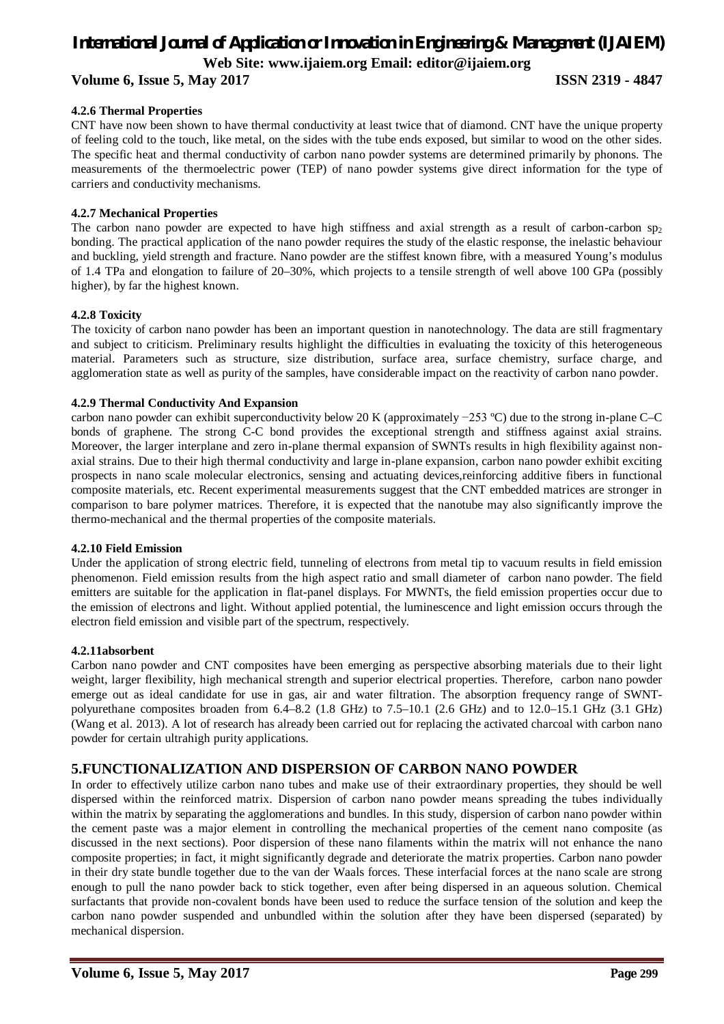### **Volume 6, Issue 5, May 2017 ISSN 2319 - 4847**

### **4.2.6 Thermal Properties**

CNT have now been shown to have thermal conductivity at least twice that of diamond. CNT have the unique property of feeling cold to the touch, like metal, on the sides with the tube ends exposed, but similar to wood on the other sides. The specific heat and thermal conductivity of carbon nano powder systems are determined primarily by phonons. The measurements of the thermoelectric power (TEP) of nano powder systems give direct information for the type of carriers and conductivity mechanisms.

### **4.2.7 Mechanical Properties**

The carbon nano powder are expected to have high stiffness and axial strength as a result of carbon-carbon  $sp_2$ bonding. The practical application of the nano powder requires the study of the elastic response, the inelastic behaviour and buckling, yield strength and fracture. Nano powder are the stiffest known fibre, with a measured Young's modulus of 1.4 TPa and elongation to failure of 20–30%, which projects to a tensile strength of well above 100 GPa (possibly higher), by far the highest known.

### **4.2.8 Toxicity**

The toxicity of carbon nano powder has been an important question in nanotechnology. The data are still fragmentary and subject to criticism. Preliminary results highlight the difficulties in evaluating the toxicity of this heterogeneous material. Parameters such as structure, size distribution, surface area, surface chemistry, surface charge, and agglomeration state as well as purity of the samples, have considerable impact on the reactivity of carbon nano powder.

### **4.2.9 Thermal Conductivity And Expansion**

carbon nano powder can exhibit superconductivity below 20 K (approximately −253 ºC) due to the strong in-plane C–C bonds of graphene. The strong C-C bond provides the exceptional strength and stiffness against axial strains. Moreover, the larger interplane and zero in-plane thermal expansion of SWNTs results in high flexibility against nonaxial strains. Due to their high thermal conductivity and large in-plane expansion, carbon nano powder exhibit exciting prospects in nano scale molecular electronics, sensing and actuating devices,reinforcing additive fibers in functional composite materials, etc. Recent experimental measurements suggest that the CNT embedded matrices are stronger in comparison to bare polymer matrices. Therefore, it is expected that the nanotube may also significantly improve the thermo-mechanical and the thermal properties of the composite materials.

### **4.2.10 Field Emission**

Under the application of strong electric field, tunneling of electrons from metal tip to vacuum results in field emission phenomenon. Field emission results from the high aspect ratio and small diameter of carbon nano powder. The field emitters are suitable for the application in flat-panel displays. For MWNTs, the field emission properties occur due to the emission of electrons and light. Without applied potential, the luminescence and light emission occurs through the electron field emission and visible part of the spectrum, respectively.

### **4.2.11absorbent**

Carbon nano powder and CNT composites have been emerging as perspective absorbing materials due to their light weight, larger flexibility, high mechanical strength and superior electrical properties. Therefore, carbon nano powder emerge out as ideal candidate for use in gas, air and water filtration. The absorption frequency range of SWNTpolyurethane composites broaden from 6.4–8.2 (1.8 GHz) to 7.5–10.1 (2.6 GHz) and to 12.0–15.1 GHz (3.1 GHz) (Wang et al. 2013). A lot of research has already been carried out for replacing the activated charcoal with carbon nano powder for certain ultrahigh purity applications.

### **5.FUNCTIONALIZATION AND DISPERSION OF CARBON NANO POWDER**

In order to effectively utilize carbon nano tubes and make use of their extraordinary properties, they should be well dispersed within the reinforced matrix. Dispersion of carbon nano powder means spreading the tubes individually within the matrix by separating the agglomerations and bundles. In this study, dispersion of carbon nano powder within the cement paste was a major element in controlling the mechanical properties of the cement nano composite (as discussed in the next sections). Poor dispersion of these nano filaments within the matrix will not enhance the nano composite properties; in fact, it might significantly degrade and deteriorate the matrix properties. Carbon nano powder in their dry state bundle together due to the van der Waals forces. These interfacial forces at the nano scale are strong enough to pull the nano powder back to stick together, even after being dispersed in an aqueous solution. Chemical surfactants that provide non-covalent bonds have been used to reduce the surface tension of the solution and keep the carbon nano powder suspended and unbundled within the solution after they have been dispersed (separated) by mechanical dispersion.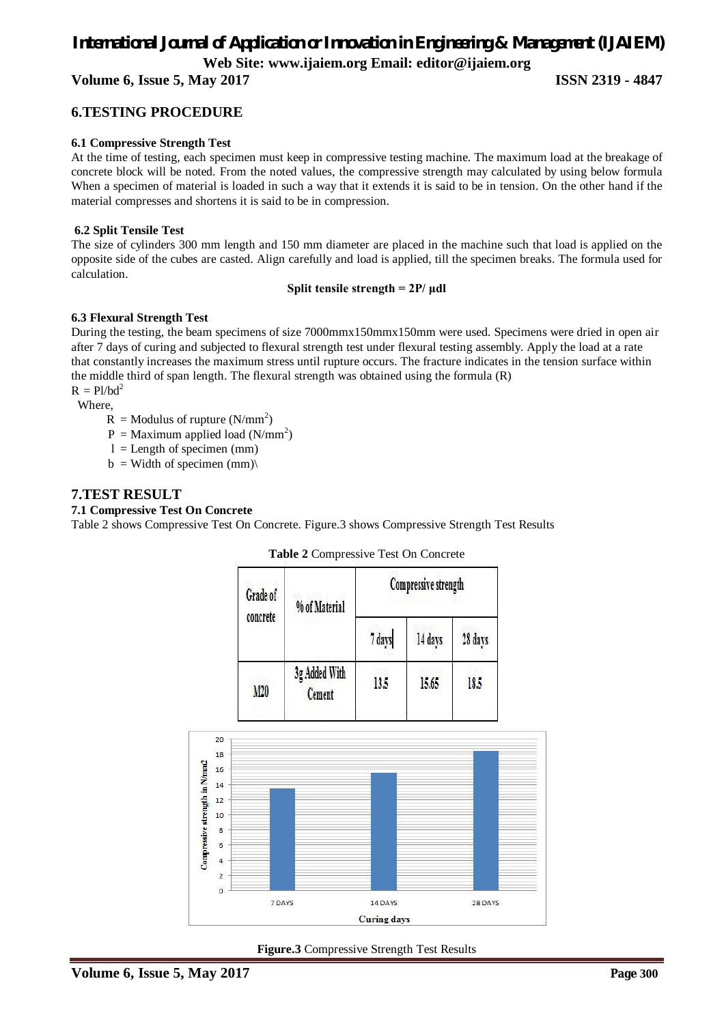**Volume 6, Issue 5, May 2017 ISSN 2319 - 4847**

### **6.TESTING PROCEDURE**

### **6.1 Compressive Strength Test**

At the time of testing, each specimen must keep in compressive testing machine. The maximum load at the breakage of concrete block will be noted. From the noted values, the compressive strength may calculated by using below formula When a specimen of material is loaded in such a way that it extends it is said to be in tension. On the other hand if the material compresses and shortens it is said to be in compression.

### **6.2 Split Tensile Test**

The size of cylinders 300 mm length and 150 mm diameter are placed in the machine such that load is applied on the opposite side of the cubes are casted. Align carefully and load is applied, till the specimen breaks. The formula used for calculation.

### **Split tensile strength = 2P/ μdl**

### **6.3 Flexural Strength Test**

During the testing, the beam specimens of size 7000mmx150mmx150mm were used. Specimens were dried in open air after 7 days of curing and subjected to flexural strength test under flexural testing assembly. Apply the load at a rate that constantly increases the maximum stress until rupture occurs. The fracture indicates in the tension surface within the middle third of span length. The flexural strength was obtained using the formula (R)  $R = Pl/bd^2$ 

Where,

- $R =$  Modulus of rupture (N/mm<sup>2</sup>)
	- $P =$  Maximum applied load (N/mm<sup>2</sup>)
	- $l =$ Length of specimen (mm)
	- $b =$  Width of specimen (mm)

### **7.TEST RESULT**

### **7.1 Compressive Test On Concrete**

Table 2 shows Compressive Test On Concrete. Figure.3 shows Compressive Strength Test Results

| <b>Table 2</b> Compressive Test On Concrete |  |
|---------------------------------------------|--|
|                                             |  |

| Grade of<br>concrete | % of Material                  | Compressive strength |         |         |
|----------------------|--------------------------------|----------------------|---------|---------|
|                      |                                | 7 days               | 14 days | 28 days |
| M20                  | 3g Added With<br><b>Cement</b> | 13.5                 | 15.65   | 18.5    |



**Figure.3** Compressive Strength Test Results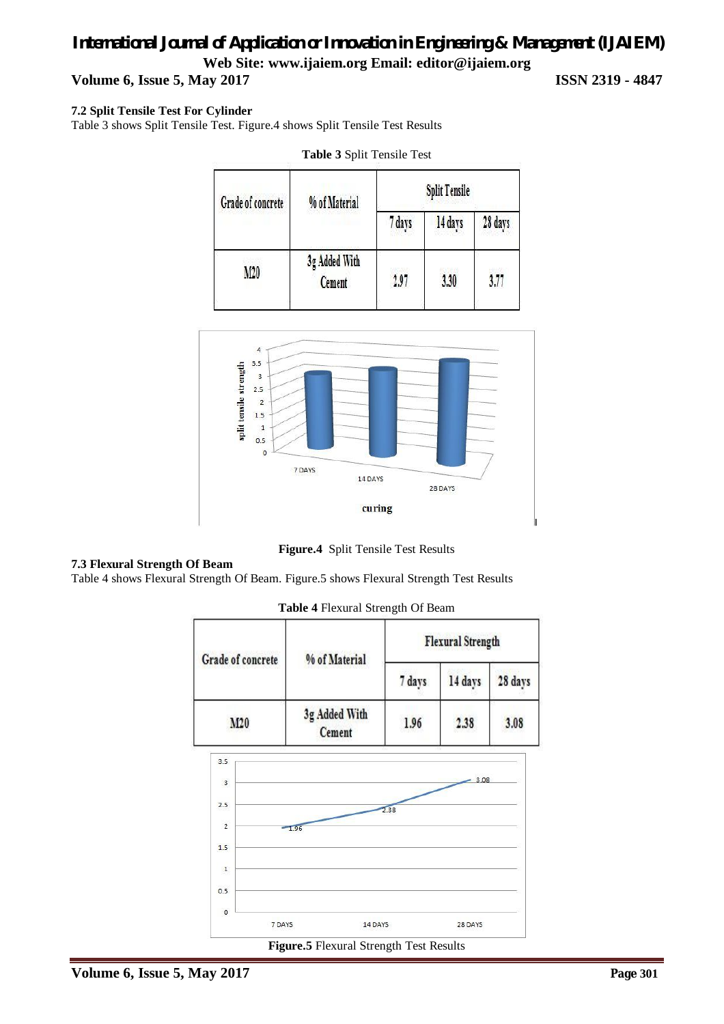## *International Journal of Application or Innovation in Engineering & Management (IJAIEM)* **Web Site: www.ijaiem.org Email: editor@ijaiem.org Volume 6, Issue 5, May 2017 ISSN 2319 - 4847**

### **7.2 Split Tensile Test For Cylinder**

Table 3 shows Split Tensile Test. Figure.4 shows Split Tensile Test Results

| Grade of concrete | % of Material           | <b>Split Tensile</b> |         |         |
|-------------------|-------------------------|----------------------|---------|---------|
|                   |                         | 7 days               | 14 days | 28 days |
| M20               | 3g Added With<br>Cement | 2.97                 | 3.30    | 3.77    |





**Figure.4** Split Tensile Test Results

### **7.3 Flexural Strength Of Beam**

Table 4 shows Flexural Strength Of Beam. Figure.5 shows Flexural Strength Test Results

**Table 4** Flexural Strength Of Beam



**Figure.5** Flexural Strength Test Results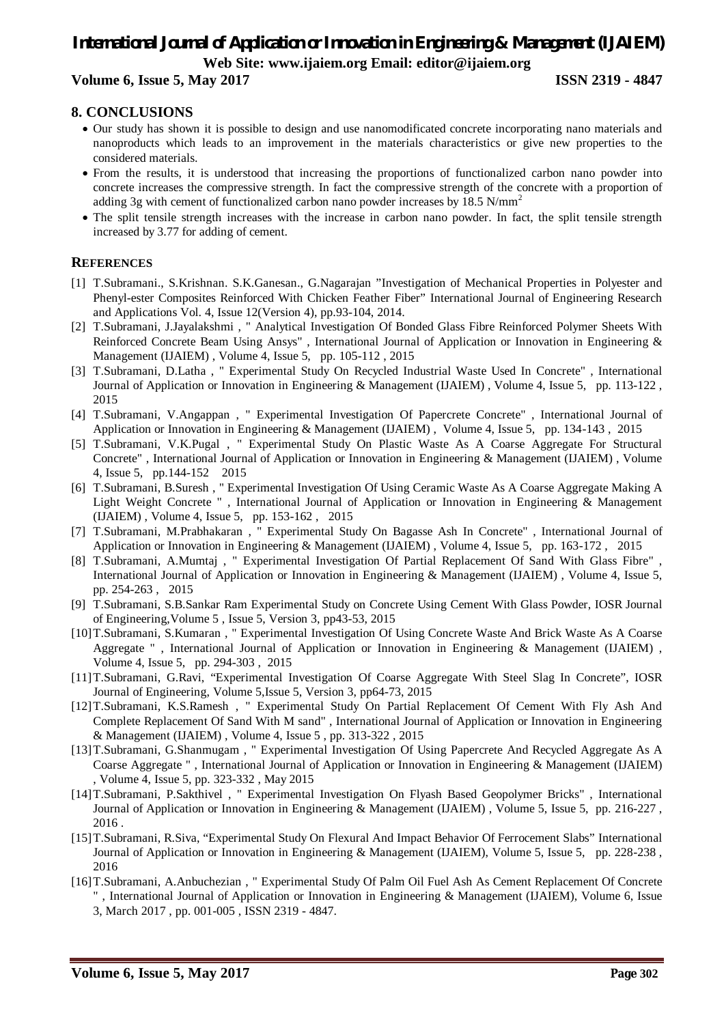### **Volume 6, Issue 5, May 2017 ISSN 2319 - 4847**

### **8. CONCLUSIONS**

- Our study has shown it is possible to design and use nanomodificated concrete incorporating nano materials and nanoproducts which leads to an improvement in the materials characteristics or give new properties to the considered materials.
- From the results, it is understood that increasing the proportions of functionalized carbon nano powder into concrete increases the compressive strength. In fact the compressive strength of the concrete with a proportion of adding 3g with cement of functionalized carbon nano powder increases by  $18.5$  N/mm<sup>2</sup>
- The split tensile strength increases with the increase in carbon nano powder. In fact, the split tensile strength increased by 3.77 for adding of cement.

### **REFERENCES**

- [1] T.Subramani., S.Krishnan. S.K.Ganesan., G.Nagarajan "Investigation of Mechanical Properties in Polyester and Phenyl-ester Composites Reinforced With Chicken Feather Fiber" International Journal of Engineering Research and Applications Vol. 4, Issue 12(Version 4), pp.93-104, 2014.
- [2] T.Subramani, J.Jayalakshmi , " Analytical Investigation Of Bonded Glass Fibre Reinforced Polymer Sheets With Reinforced Concrete Beam Using Ansys" , International Journal of Application or Innovation in Engineering & Management (IJAIEM) , Volume 4, Issue 5, pp. 105-112 , 2015
- [3] T.Subramani, D.Latha , " Experimental Study On Recycled Industrial Waste Used In Concrete" , International Journal of Application or Innovation in Engineering & Management (IJAIEM) , Volume 4, Issue 5, pp. 113-122 , 2015
- [4] T.Subramani, V.Angappan , " Experimental Investigation Of Papercrete Concrete" , International Journal of Application or Innovation in Engineering & Management (IJAIEM) , Volume 4, Issue 5, pp. 134-143 , 2015
- [5] T.Subramani, V.K.Pugal , " Experimental Study On Plastic Waste As A Coarse Aggregate For Structural Concrete" , International Journal of Application or Innovation in Engineering & Management (IJAIEM) , Volume 4, Issue 5, pp.144-152 2015
- [6] T.Subramani, B.Suresh , " Experimental Investigation Of Using Ceramic Waste As A Coarse Aggregate Making A Light Weight Concrete " , International Journal of Application or Innovation in Engineering & Management (IJAIEM) , Volume 4, Issue 5, pp. 153-162 , 2015
- [7] T.Subramani, M.Prabhakaran , " Experimental Study On Bagasse Ash In Concrete" , International Journal of Application or Innovation in Engineering & Management (IJAIEM) , Volume 4, Issue 5, pp. 163-172 , 2015
- [8] T.Subramani, A.Mumtaj , " Experimental Investigation Of Partial Replacement Of Sand With Glass Fibre" , International Journal of Application or Innovation in Engineering & Management (IJAIEM) , Volume 4, Issue 5, pp. 254-263 , 2015
- [9] T.Subramani, S.B.Sankar Ram Experimental Study on Concrete Using Cement With Glass Powder, IOSR Journal of Engineering,Volume 5 , Issue 5, Version 3, pp43-53, 2015
- [10]T.Subramani, S.Kumaran , " Experimental Investigation Of Using Concrete Waste And Brick Waste As A Coarse Aggregate " , International Journal of Application or Innovation in Engineering & Management (IJAIEM) , Volume 4, Issue 5, pp. 294-303 , 2015
- [11]T.Subramani, G.Ravi, "Experimental Investigation Of Coarse Aggregate With Steel Slag In Concrete", IOSR Journal of Engineering, Volume 5,Issue 5, Version 3, pp64-73, 2015
- [12]T.Subramani, K.S.Ramesh , " Experimental Study On Partial Replacement Of Cement With Fly Ash And Complete Replacement Of Sand With M sand" , International Journal of Application or Innovation in Engineering & Management (IJAIEM) , Volume 4, Issue 5 , pp. 313-322 , 2015
- [13]T.Subramani, G.Shanmugam , " Experimental Investigation Of Using Papercrete And Recycled Aggregate As A Coarse Aggregate " , International Journal of Application or Innovation in Engineering & Management (IJAIEM) , Volume 4, Issue 5, pp. 323-332 , May 2015
- [14]T.Subramani, P.Sakthivel , " Experimental Investigation On Flyash Based Geopolymer Bricks" , International Journal of Application or Innovation in Engineering & Management (IJAIEM) , Volume 5, Issue 5, pp. 216-227 , 2016 .
- [15]T.Subramani, R.Siva, "Experimental Study On Flexural And Impact Behavior Of Ferrocement Slabs" International Journal of Application or Innovation in Engineering & Management (IJAIEM), Volume 5, Issue 5, pp. 228-238 , 2016
- [16]T.Subramani, A.Anbuchezian , " Experimental Study Of Palm Oil Fuel Ash As Cement Replacement Of Concrete " , International Journal of Application or Innovation in Engineering & Management (IJAIEM), Volume 6, Issue 3, March 2017 , pp. 001-005 , ISSN 2319 - 4847.